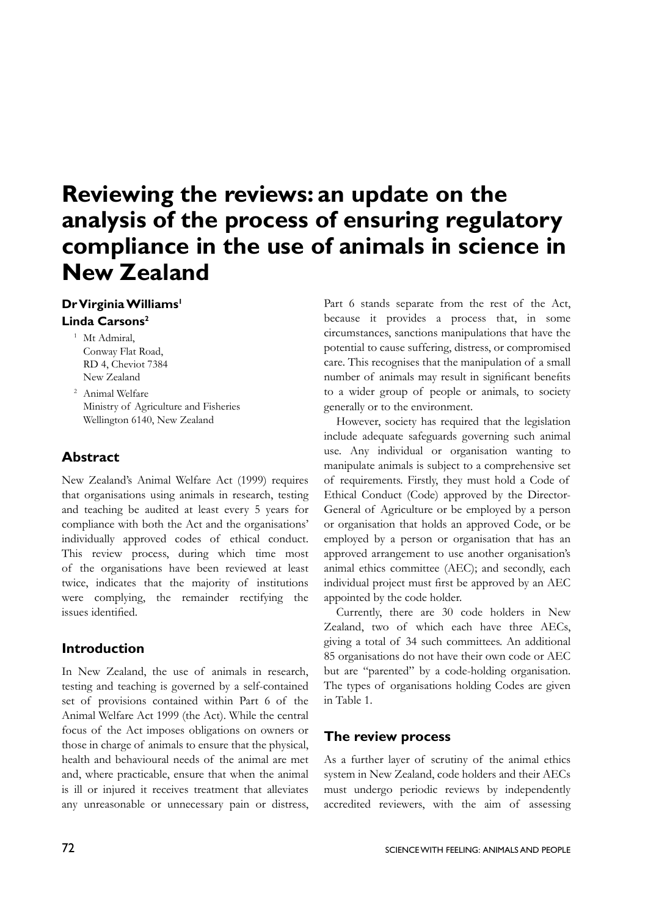# **Reviewing the reviews: an update on the analysis of the process of ensuring regulatory compliance in the use of animals in science in New Zealand**

# **Dr Virginia Williams1 Linda Carsons2**

- <sup>1</sup> Mt Admiral, Conway Flat Road, RD 4, Cheviot 7384 New Zealand
- <sup>2</sup> Animal Welfare Ministry of Agriculture and Fisheries Wellington 6140, New Zealand

# **Abstract**

New Zealand's Animal Welfare Act (1999) requires that organisations using animals in research, testing and teaching be audited at least every 5 years for compliance with both the Act and the organisations' individually approved codes of ethical conduct. This review process, during which time most of the organisations have been reviewed at least twice, indicates that the majority of institutions were complying, the remainder rectifying the issues identified.

# **Introduction**

In New Zealand, the use of animals in research, testing and teaching is governed by a self-contained set of provisions contained within Part 6 of the Animal Welfare Act 1999 (the Act). While the central focus of the Act imposes obligations on owners or those in charge of animals to ensure that the physical, health and behavioural needs of the animal are met and, where practicable, ensure that when the animal is ill or injured it receives treatment that alleviates any unreasonable or unnecessary pain or distress,

Part 6 stands separate from the rest of the Act, because it provides a process that, in some circumstances, sanctions manipulations that have the potential to cause suffering, distress, or compromised care. This recognises that the manipulation of a small number of animals may result in significant benefits to a wider group of people or animals, to society generally or to the environment.

However, society has required that the legislation include adequate safeguards governing such animal use. Any individual or organisation wanting to manipulate animals is subject to a comprehensive set of requirements. Firstly, they must hold a Code of Ethical Conduct (Code) approved by the Director-General of Agriculture or be employed by a person or organisation that holds an approved Code, or be employed by a person or organisation that has an approved arrangement to use another organisation's animal ethics committee (AEC); and secondly, each individual project must first be approved by an AEC appointed by the code holder.

Currently, there are 30 code holders in New Zealand, two of which each have three AECs, giving a total of 34 such committees. An additional 85 organisations do not have their own code or AEC but are "parented" by a code-holding organisation. The types of organisations holding Codes are given in Table 1.

# **The review process**

As a further layer of scrutiny of the animal ethics system in New Zealand, code holders and their AECs must undergo periodic reviews by independently accredited reviewers, with the aim of assessing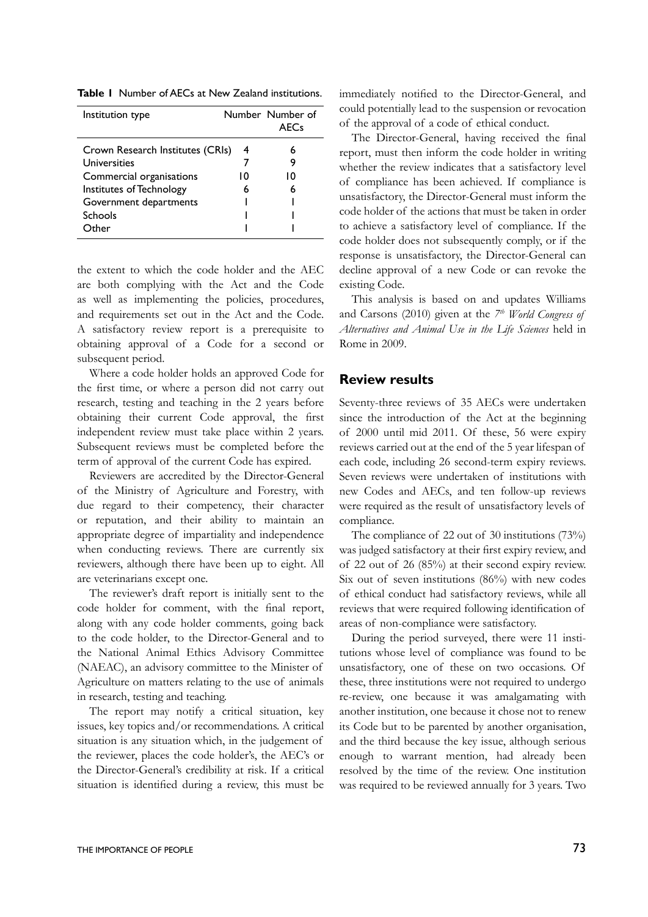**Table 1** Number of AECs at New Zealand institutions.

| Institution type                 |    | Number Number of<br><b>AFCs</b> |
|----------------------------------|----|---------------------------------|
| Crown Research Institutes (CRIs) | 4  |                                 |
| Universities                     |    |                                 |
| Commercial organisations         | 10 | ıΩ                              |
| Institutes of Technology         | 6  |                                 |
| Government departments           |    |                                 |
| Schools                          |    |                                 |
| Other                            |    |                                 |

the extent to which the code holder and the AEC are both complying with the Act and the Code as well as implementing the policies, procedures, and requirements set out in the Act and the Code. A satisfactory review report is a prerequisite to obtaining approval of a Code for a second or subsequent period.

Where a code holder holds an approved Code for the first time, or where a person did not carry out research, testing and teaching in the 2 years before obtaining their current Code approval, the first independent review must take place within 2 years. Subsequent reviews must be completed before the term of approval of the current Code has expired.

Reviewers are accredited by the Director-General of the Ministry of Agriculture and Forestry, with due regard to their competency, their character or reputation, and their ability to maintain an appropriate degree of impartiality and independence when conducting reviews. There are currently six reviewers, although there have been up to eight. All are veterinarians except one.

The reviewer's draft report is initially sent to the code holder for comment, with the final report, along with any code holder comments, going back to the code holder, to the Director-General and to the National Animal Ethics Advisory Committee (NAEAC), an advisory committee to the Minister of Agriculture on matters relating to the use of animals in research, testing and teaching.

The report may notify a critical situation, key issues, key topics and/or recommendations. A critical situation is any situation which, in the judgement of the reviewer, places the code holder's, the AEC's or the Director-General's credibility at risk. If a critical situation is identified during a review, this must be immediately notified to the Director-General, and could potentially lead to the suspension or revocation of the approval of a code of ethical conduct.

The Director-General, having received the final report, must then inform the code holder in writing whether the review indicates that a satisfactory level of compliance has been achieved. If compliance is unsatisfactory, the Director-General must inform the code holder of the actions that must be taken in order to achieve a satisfactory level of compliance. If the code holder does not subsequently comply, or if the response is unsatisfactory, the Director-General can decline approval of a new Code or can revoke the existing Code.

This analysis is based on and updates Williams and Carsons (2010) given at the *7th World Congress of Alternatives and Animal Use in the Life Sciences* held in Rome in 2009.

# **Review results**

Seventy-three reviews of 35 AECs were undertaken since the introduction of the Act at the beginning of 2000 until mid 2011. Of these, 56 were expiry reviews carried out at the end of the 5 year lifespan of each code, including 26 second-term expiry reviews. Seven reviews were undertaken of institutions with new Codes and AECs, and ten follow-up reviews were required as the result of unsatisfactory levels of compliance.

The compliance of 22 out of 30 institutions (73%) was judged satisfactory at their first expiry review, and of 22 out of 26 (85%) at their second expiry review. Six out of seven institutions (86%) with new codes of ethical conduct had satisfactory reviews, while all reviews that were required following identification of areas of non-compliance were satisfactory.

During the period surveyed, there were 11 institutions whose level of compliance was found to be unsatisfactory, one of these on two occasions. Of these, three institutions were not required to undergo re-review, one because it was amalgamating with another institution, one because it chose not to renew its Code but to be parented by another organisation, and the third because the key issue, although serious enough to warrant mention, had already been resolved by the time of the review. One institution was required to be reviewed annually for 3 years. Two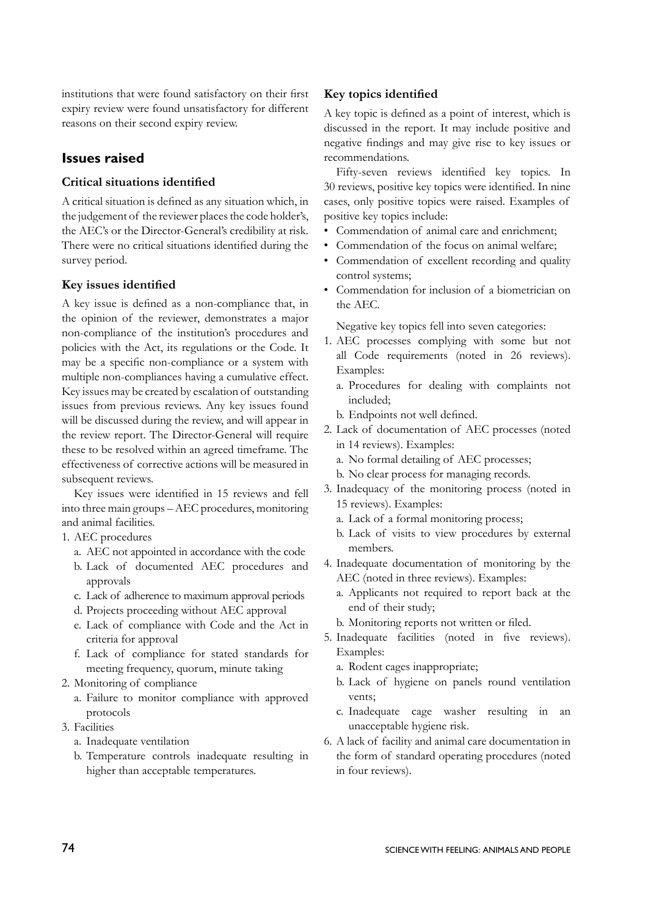institutions that were found satisfactory on their first expiry review were found unsatisfactory for different reasons on their second expiry review.

# **Issues raised**

#### **Critical situations identified**

A critical situation is defined as any situation which, in the judgement of the reviewer places the code holder's, the AEC's or the Director-General's credibility at risk. There were no critical situations identified during the survey period.

#### **Key issues identified**

A key issue is defined as a non-compliance that, in the opinion of the reviewer, demonstrates a major non-compliance of the institution's procedures and policies with the Act, its regulations or the Code. It may be a specific non-compliance or a system with multiple non-compliances having a cumulative effect. Key issues may be created by escalation of outstanding issues from previous reviews. Any key issues found will be discussed during the review, and will appear in the review report. The Director-General will require these to be resolved within an agreed timeframe. The effectiveness of corrective actions will be measured in subsequent reviews.

Key issues were identified in 15 reviews and fell into three main groups – AEC procedures, monitoring and animal facilities.

- 1. AEC procedures
	- a. AEC not appointed in accordance with the code
	- b. Lack of documented AEC procedures and approvals
	- c. Lack of adherence to maximum approval periods
	- d. Projects proceeding without AEC approval
	- e. Lack of compliance with Code and the Act in criteria for approval
	- f. Lack of compliance for stated standards for meeting frequency, quorum, minute taking
- 2. Monitoring of compliance
	- a. Failure to monitor compliance with approved protocols
- 3. Facilities
	- a. Inadequate ventilation
	- b. Temperature controls inadequate resulting in higher than acceptable temperatures.

#### **Key topics identified**

A key topic is defined as a point of interest, which is discussed in the report. It may include positive and negative findings and may give rise to key issues or recommendations.

Fifty-seven reviews identified key topics. In 30 reviews, positive key topics were identified. In nine cases, only positive topics were raised. Examples of positive key topics include:

- Commendation of animal care and enrichment;
- Commendation of the focus on animal welfare:
- Commendation of excellent recording and quality control systems;
- Commendation for inclusion of a biometrician on the AEC.

Negative key topics fell into seven categories:

- 1. AEC processes complying with some but not all Code requirements (noted in 26 reviews). Examples:
	- a. Procedures for dealing with complaints not included;
	- b. Endpoints not well defined.
- 2. Lack of documentation of AEC processes (noted in 14 reviews). Examples:
	- a. No formal detailing of AEC processes;
	- b. No clear process for managing records.
- 3. Inadequacy of the monitoring process (noted in 15 reviews). Examples:
	- a. Lack of a formal monitoring process;
	- b. Lack of visits to view procedures by external members.
- 4. Inadequate documentation of monitoring by the AEC (noted in three reviews). Examples:
	- a. Applicants not required to report back at the end of their study;
	- b. Monitoring reports not written or filed.
- 5. Inadequate facilities (noted in five reviews). Examples:
	- a. Rodent cages inappropriate;
	- b. Lack of hygiene on panels round ventilation vents;
	- c. Inadequate cage washer resulting in an unacceptable hygiene risk.
- 6. A lack of facility and animal care documentation in the form of standard operating procedures (noted in four reviews).